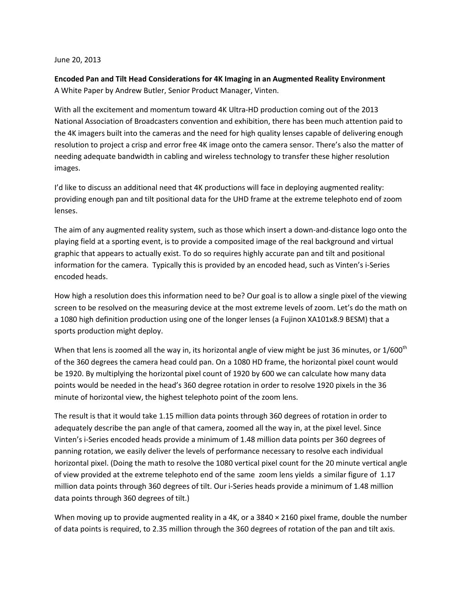## June 20, 2013

**Encoded Pan and Tilt Head Considerations for 4K Imaging in an Augmented Reality Environment** A White Paper by Andrew Butler, Senior Product Manager, Vinten.

With all the excitement and momentum toward 4K Ultra-HD production coming out of the 2013 National Association of Broadcasters convention and exhibition, there has been much attention paid to the 4K imagers built into the cameras and the need for high quality lenses capable of delivering enough resolution to project a crisp and error free 4K image onto the camera sensor. There's also the matter of needing adequate bandwidth in cabling and wireless technology to transfer these higher resolution images.

I'd like to discuss an additional need that 4K productions will face in deploying augmented reality: providing enough pan and tilt positional data for the UHD frame at the extreme telephoto end of zoom lenses.

The aim of any augmented reality system, such as those which insert a down-and-distance logo onto the playing field at a sporting event, is to provide a composited image of the real background and virtual graphic that appears to actually exist. To do so requires highly accurate pan and tilt and positional information for the camera. Typically this is provided by an encoded head, such as Vinten's i-Series encoded heads.

How high a resolution does this information need to be? Our goal is to allow a single pixel of the viewing screen to be resolved on the measuring device at the most extreme levels of zoom. Let's do the math on a 1080 high definition production using one of the longer lenses (a Fujinon XA101x8.9 BESM) that a sports production might deploy.

When that lens is zoomed all the way in, its horizontal angle of view might be just 36 minutes, or 1/600<sup>th</sup> of the 360 degrees the camera head could pan. On a 1080 HD frame, the horizontal pixel count would be 1920. By multiplying the horizontal pixel count of 1920 by 600 we can calculate how many data points would be needed in the head's 360 degree rotation in order to resolve 1920 pixels in the 36 minute of horizontal view, the highest telephoto point of the zoom lens.

The result is that it would take 1.15 million data points through 360 degrees of rotation in order to adequately describe the pan angle of that camera, zoomed all the way in, at the pixel level. Since Vinten's i-Series encoded heads provide a minimum of 1.48 million data points per 360 degrees of panning rotation, we easily deliver the levels of performance necessary to resolve each individual horizontal pixel. (Doing the math to resolve the 1080 vertical pixel count for the 20 minute vertical angle of view provided at the extreme telephoto end of the same zoom lens yields a similar figure of 1.17 million data points through 360 degrees of tilt. Our i-Series heads provide a minimum of 1.48 million data points through 360 degrees of tilt.)

When moving up to provide augmented reality in a 4K, or a 3840  $\times$  2160 pixel frame, double the number of data points is required, to 2.35 million through the 360 degrees of rotation of the pan and tilt axis.